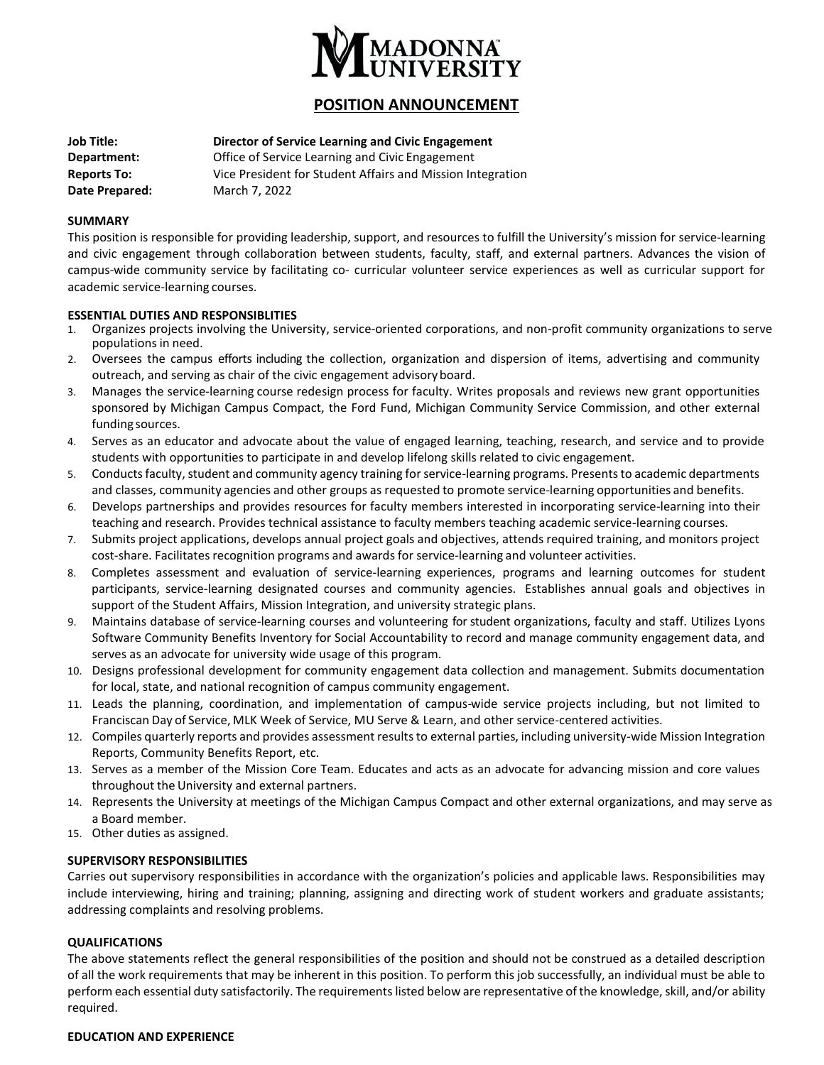

# **POSITION ANNOUNCEMENT**

| <b>Job Title:</b>  | Director of Service Learning and Civic Engagement          |
|--------------------|------------------------------------------------------------|
| Department:        | Office of Service Learning and Civic Engagement            |
| <b>Reports To:</b> | Vice President for Student Affairs and Mission Integration |
| Date Prepared:     | March 7, 2022                                              |

## **SUMMARY**

This position is responsible for providing leadership, support, and resources to fulfill the University's mission for service-learning and civic engagement through collaboration between students, faculty, staff, and external partners. Advances the vision of campus-wide community service by facilitating co- curricular volunteer service experiences as well as curricular support for academic service-learning courses.

## **ESSENTIAL DUTIES AND RESPONSIBLITIES**

- 1. Organizes projects involving the University, service-oriented corporations, and non-profit community organizations to serve populationsin need.
- 2. Oversees the campus efforts including the collection, organization and dispersion of items, advertising and community outreach, and serving as chair of the civic engagement advisory board.
- 3. Manages the service-learning course redesign process for faculty. Writes proposals and reviews new grant opportunities sponsored by Michigan Campus Compact, the Ford Fund, Michigan Community Service Commission, and other external funding sources.
- 4. Serves as an educator and advocate about the value of engaged learning, teaching, research, and service and to provide students with opportunities to participate in and develop lifelong skills related to civic engagement.
- 5. Conductsfaculty, student and community agency training for service-learning programs. Presents to academic departments and classes, community agencies and other groups as requested to promote service-learning opportunities and benefits.
- 6. Develops partnerships and provides resources for faculty members interested in incorporating service-learning into their teaching and research. Provides technical assistance to faculty members teaching academic service-learning courses.
- 7. Submits project applications, develops annual project goals and objectives, attends required training, and monitors project cost-share. Facilitates recognition programs and awards for service-learning and volunteer activities.
- 8. Completes assessment and evaluation of service-learning experiences, programs and learning outcomes for student participants, service-learning designated courses and community agencies. Establishes annual goals and objectives in support of the Student Affairs, Mission Integration, and university strategic plans.
- 9. Maintains database of service-learning courses and volunteering for student organizations, faculty and staff. Utilizes Lyons Software Community Benefits Inventory for Social Accountability to record and manage community engagement data, and serves as an advocate for university wide usage of this program.
- 10. Designs professional development for community engagement data collection and management. Submits documentation for local, state, and national recognition of campus community engagement.
- 11. Leads the planning, coordination, and implementation of campus-wide service projects including, but not limited to Franciscan Day of Service, MLK Week of Service, MU Serve & Learn, and other service-centered activities.
- 12. Compiles quarterly reports and provides assessment results to external parties, including university-wide Mission Integration Reports, Community Benefits Report, etc.
- 13. Serves as a member of the Mission Core Team. Educates and acts as an advocate for advancing mission and core values throughout the University and external partners.
- 14. Represents the University at meetings of the Michigan Campus Compact and other external organizations, and may serve as a Board member.
- 15. Other duties as assigned.

## **SUPERVISORY RESPONSIBILITIES**

Carries out supervisory responsibilities in accordance with the organization's policies and applicable laws. Responsibilities may include interviewing, hiring and training; planning, assigning and directing work of student workers and graduate assistants; addressing complaints and resolving problems.

## **QUALIFICATIONS**

The above statements reflect the general responsibilities of the position and should not be construed as a detailed description of all the work requirements that may be inherent in this position. To perform this job successfully, an individual must be able to perform each essential duty satisfactorily. The requirements listed below are representative of the knowledge, skill, and/or ability required.

## **EDUCATION AND EXPERIENCE**